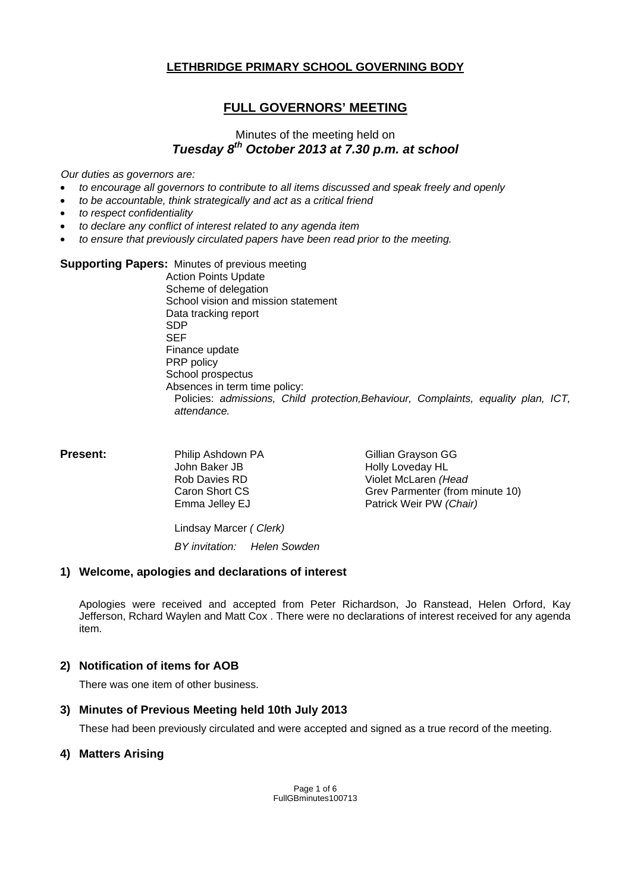## **LETHBRIDGE PRIMARY SCHOOL GOVERNING BODY**

# **FULL GOVERNORS' MEETING**

# Minutes of the meeting held on *Tuesday 8th October 2013 at 7.30 p.m. at school*

*Our duties as governors are:* 

- *to encourage all governors to contribute to all items discussed and speak freely and openly*
- *to be accountable, think strategically and act as a critical friend*
- *to respect confidentiality*
- *to declare any conflict of interest related to any agenda item*
- *to ensure that previously circulated papers have been read prior to the meeting.*

#### **Supporting Papers:** Minutes of previous meeting

 Action Points Update Scheme of delegation School vision and mission statement Data tracking report SDP SEF Finance update PRP policy School prospectus Absences in term time policy: Policies: *admissions, Child protection,Behaviour, Complaints, equality plan, ICT, attendance.*

| <b>Present:</b> | Philip Ashdown PA | Gillian Grayson GG              |  |
|-----------------|-------------------|---------------------------------|--|
|                 | John Baker JB     | Holly Loveday HL                |  |
|                 | Rob Davies RD     | Violet McLaren (Head            |  |
|                 | Caron Short CS    | Grev Parmenter (from minute 10) |  |
|                 | Emma Jelley EJ    | Patrick Weir PW (Chair)         |  |
|                 |                   |                                 |  |

Lindsay Marcer *( Clerk) BY invitation: Helen Sowden* 

#### **1) Welcome, apologies and declarations of interest**

Apologies were received and accepted from Peter Richardson, Jo Ranstead, Helen Orford, Kay Jefferson, Rchard Waylen and Matt Cox . There were no declarations of interest received for any agenda item.

#### **2) Notification of items for AOB**

There was one item of other business.

#### **3) Minutes of Previous Meeting held 10th July 2013**

These had been previously circulated and were accepted and signed as a true record of the meeting.

#### **4) Matters Arising**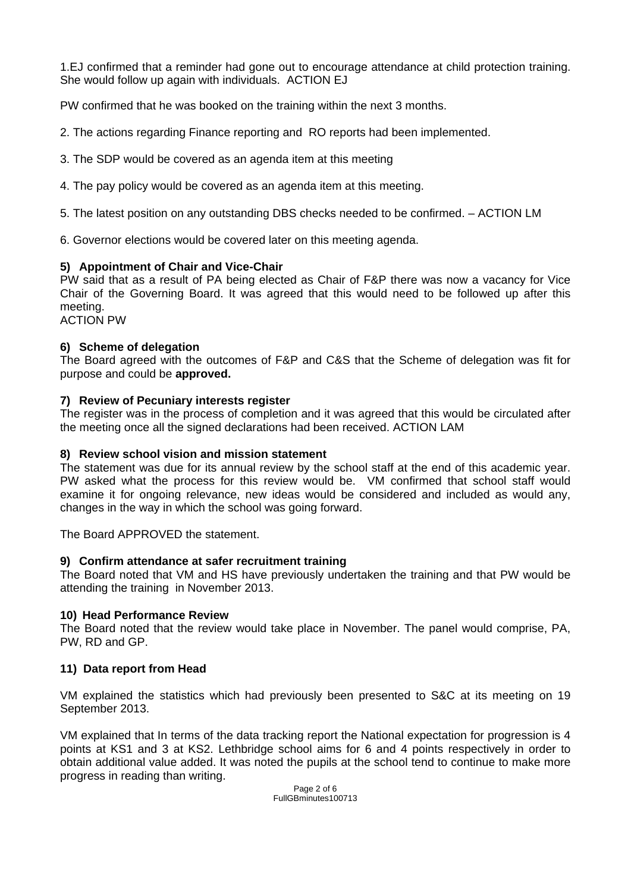1.EJ confirmed that a reminder had gone out to encourage attendance at child protection training. She would follow up again with individuals. ACTION EJ

PW confirmed that he was booked on the training within the next 3 months.

2. The actions regarding Finance reporting and RO reports had been implemented.

- 3. The SDP would be covered as an agenda item at this meeting
- 4. The pay policy would be covered as an agenda item at this meeting.
- 5. The latest position on any outstanding DBS checks needed to be confirmed. ACTION LM

6. Governor elections would be covered later on this meeting agenda.

### **5) Appointment of Chair and Vice-Chair**

PW said that as a result of PA being elected as Chair of F&P there was now a vacancy for Vice Chair of the Governing Board. It was agreed that this would need to be followed up after this meeting.

ACTION PW

#### **6) Scheme of delegation**

The Board agreed with the outcomes of F&P and C&S that the Scheme of delegation was fit for purpose and could be **approved.** 

#### **7) Review of Pecuniary interests register**

The register was in the process of completion and it was agreed that this would be circulated after the meeting once all the signed declarations had been received. ACTION LAM

#### **8) Review school vision and mission statement**

The statement was due for its annual review by the school staff at the end of this academic year. PW asked what the process for this review would be. VM confirmed that school staff would examine it for ongoing relevance, new ideas would be considered and included as would any, changes in the way in which the school was going forward.

The Board APPROVED the statement.

#### **9) Confirm attendance at safer recruitment training**

The Board noted that VM and HS have previously undertaken the training and that PW would be attending the training in November 2013.

#### **10) Head Performance Review**

The Board noted that the review would take place in November. The panel would comprise, PA, PW, RD and GP.

#### **11) Data report from Head**

VM explained the statistics which had previously been presented to S&C at its meeting on 19 September 2013.

VM explained that In terms of the data tracking report the National expectation for progression is 4 points at KS1 and 3 at KS2. Lethbridge school aims for 6 and 4 points respectively in order to obtain additional value added. It was noted the pupils at the school tend to continue to make more progress in reading than writing.

> Page 2 of 6 FullGBminutes100713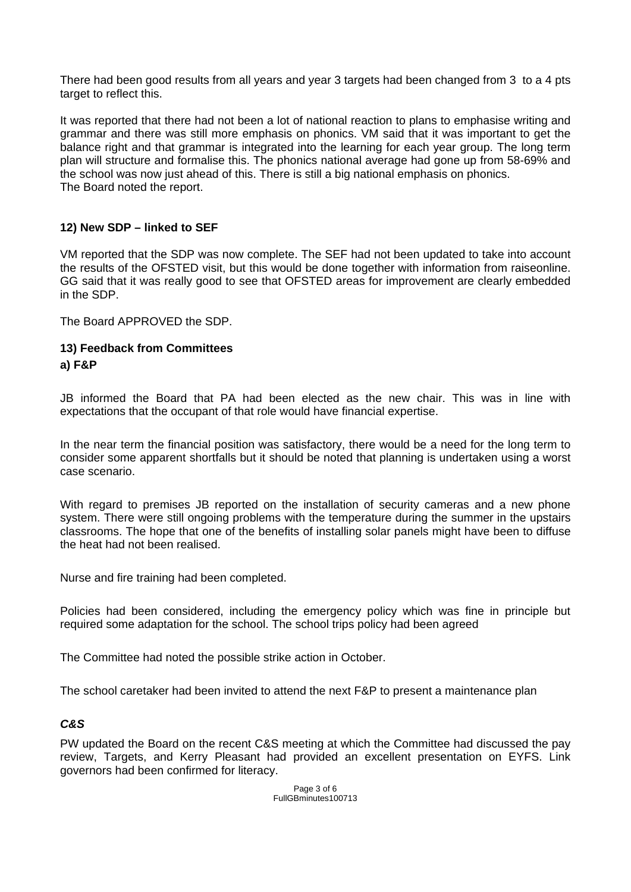There had been good results from all years and year 3 targets had been changed from 3 to a 4 pts target to reflect this.

It was reported that there had not been a lot of national reaction to plans to emphasise writing and grammar and there was still more emphasis on phonics. VM said that it was important to get the balance right and that grammar is integrated into the learning for each year group. The long term plan will structure and formalise this. The phonics national average had gone up from 58-69% and the school was now just ahead of this. There is still a big national emphasis on phonics. The Board noted the report.

## **12) New SDP – linked to SEF**

VM reported that the SDP was now complete. The SEF had not been updated to take into account the results of the OFSTED visit, but this would be done together with information from raiseonline. GG said that it was really good to see that OFSTED areas for improvement are clearly embedded in the SDP.

The Board APPROVED the SDP.

### **13) Feedback from Committees a) F&P**

JB informed the Board that PA had been elected as the new chair. This was in line with expectations that the occupant of that role would have financial expertise.

In the near term the financial position was satisfactory, there would be a need for the long term to consider some apparent shortfalls but it should be noted that planning is undertaken using a worst case scenario.

With regard to premises JB reported on the installation of security cameras and a new phone system. There were still ongoing problems with the temperature during the summer in the upstairs classrooms. The hope that one of the benefits of installing solar panels might have been to diffuse the heat had not been realised.

Nurse and fire training had been completed.

Policies had been considered, including the emergency policy which was fine in principle but required some adaptation for the school. The school trips policy had been agreed

The Committee had noted the possible strike action in October.

The school caretaker had been invited to attend the next F&P to present a maintenance plan

## *C&S*

PW updated the Board on the recent C&S meeting at which the Committee had discussed the pay review, Targets, and Kerry Pleasant had provided an excellent presentation on EYFS. Link governors had been confirmed for literacy.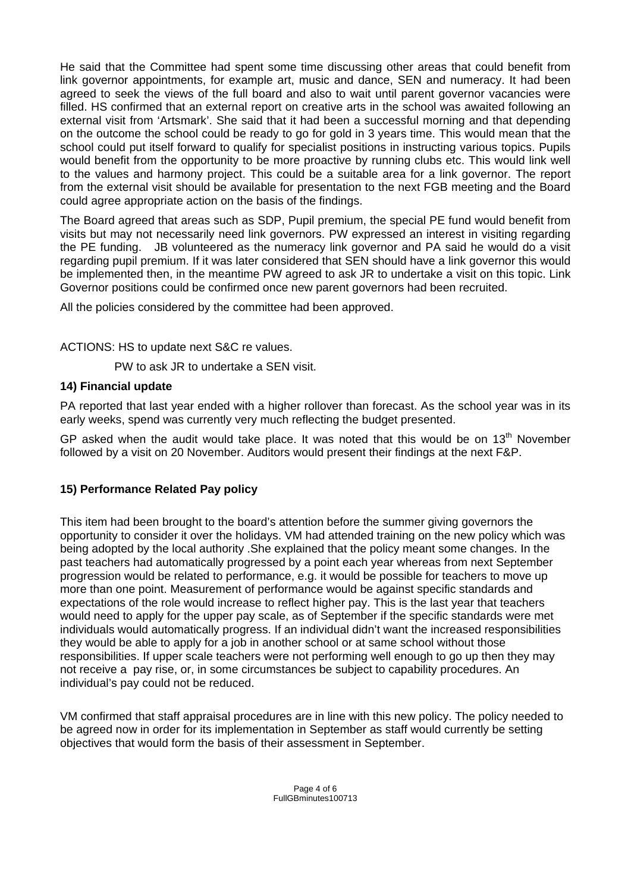He said that the Committee had spent some time discussing other areas that could benefit from link governor appointments, for example art, music and dance, SEN and numeracy. It had been agreed to seek the views of the full board and also to wait until parent governor vacancies were filled. HS confirmed that an external report on creative arts in the school was awaited following an external visit from 'Artsmark'. She said that it had been a successful morning and that depending on the outcome the school could be ready to go for gold in 3 years time. This would mean that the school could put itself forward to qualify for specialist positions in instructing various topics. Pupils would benefit from the opportunity to be more proactive by running clubs etc. This would link well to the values and harmony project. This could be a suitable area for a link governor. The report from the external visit should be available for presentation to the next FGB meeting and the Board could agree appropriate action on the basis of the findings.

The Board agreed that areas such as SDP, Pupil premium, the special PE fund would benefit from visits but may not necessarily need link governors. PW expressed an interest in visiting regarding the PE funding. JB volunteered as the numeracy link governor and PA said he would do a visit regarding pupil premium. If it was later considered that SEN should have a link governor this would be implemented then, in the meantime PW agreed to ask JR to undertake a visit on this topic. Link Governor positions could be confirmed once new parent governors had been recruited.

All the policies considered by the committee had been approved.

ACTIONS: HS to update next S&C re values.

PW to ask JR to undertake a SEN visit.

## **14) Financial update**

PA reported that last year ended with a higher rollover than forecast. As the school year was in its early weeks, spend was currently very much reflecting the budget presented.

GP asked when the audit would take place. It was noted that this would be on  $13<sup>th</sup>$  November followed by a visit on 20 November. Auditors would present their findings at the next F&P.

## **15) Performance Related Pay policy**

This item had been brought to the board's attention before the summer giving governors the opportunity to consider it over the holidays. VM had attended training on the new policy which was being adopted by the local authority .She explained that the policy meant some changes. In the past teachers had automatically progressed by a point each year whereas from next September progression would be related to performance, e.g. it would be possible for teachers to move up more than one point. Measurement of performance would be against specific standards and expectations of the role would increase to reflect higher pay. This is the last year that teachers would need to apply for the upper pay scale, as of September if the specific standards were met individuals would automatically progress. If an individual didn't want the increased responsibilities they would be able to apply for a job in another school or at same school without those responsibilities. If upper scale teachers were not performing well enough to go up then they may not receive a pay rise, or, in some circumstances be subject to capability procedures. An individual's pay could not be reduced.

VM confirmed that staff appraisal procedures are in line with this new policy. The policy needed to be agreed now in order for its implementation in September as staff would currently be setting objectives that would form the basis of their assessment in September.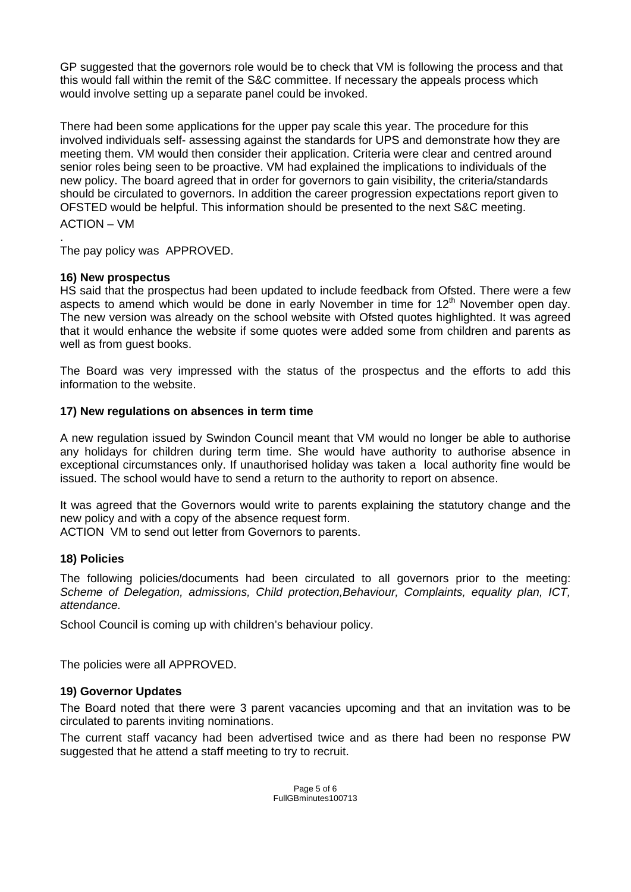GP suggested that the governors role would be to check that VM is following the process and that this would fall within the remit of the S&C committee. If necessary the appeals process which would involve setting up a separate panel could be invoked.

There had been some applications for the upper pay scale this year. The procedure for this involved individuals self- assessing against the standards for UPS and demonstrate how they are meeting them. VM would then consider their application. Criteria were clear and centred around senior roles being seen to be proactive. VM had explained the implications to individuals of the new policy. The board agreed that in order for governors to gain visibility, the criteria/standards should be circulated to governors. In addition the career progression expectations report given to OFSTED would be helpful. This information should be presented to the next S&C meeting. ACTION – VM

. The pay policy was APPROVED.

### **16) New prospectus**

HS said that the prospectus had been updated to include feedback from Ofsted. There were a few aspects to amend which would be done in early November in time for  $12<sup>th</sup>$  November open day. The new version was already on the school website with Ofsted quotes highlighted. It was agreed that it would enhance the website if some quotes were added some from children and parents as well as from quest books.

The Board was very impressed with the status of the prospectus and the efforts to add this information to the website.

### **17) New regulations on absences in term time**

A new regulation issued by Swindon Council meant that VM would no longer be able to authorise any holidays for children during term time. She would have authority to authorise absence in exceptional circumstances only. If unauthorised holiday was taken a local authority fine would be issued. The school would have to send a return to the authority to report on absence.

It was agreed that the Governors would write to parents explaining the statutory change and the new policy and with a copy of the absence request form.

ACTION VM to send out letter from Governors to parents.

#### **18) Policies**

The following policies/documents had been circulated to all governors prior to the meeting: *Scheme of Delegation, admissions, Child protection,Behaviour, Complaints, equality plan, ICT, attendance.* 

School Council is coming up with children's behaviour policy.

The policies were all APPROVED.

## **19) Governor Updates**

The Board noted that there were 3 parent vacancies upcoming and that an invitation was to be circulated to parents inviting nominations.

The current staff vacancy had been advertised twice and as there had been no response PW suggested that he attend a staff meeting to try to recruit.